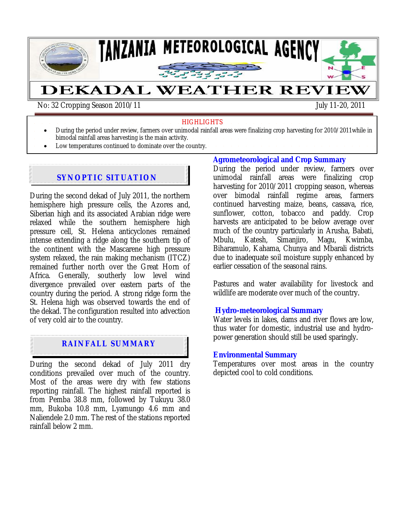

#### **HIGHLIGHTS**

- During the period under review, farmers over unimodal rainfall areas were finalizing crop harvesting for 2010/2011while in
- bimodal rainfall areas harvesting is the main activity.
- Low temperatures continued to dominate over the country.

# **SYNOPTIC SITUATION**

During the second dekad of July 2011, the northern hemisphere high pressure cells, the Azores and, Siberian high and its associated Arabian ridge were relaxed while the southern hemisphere high pressure cell, St. Helena anticyclones remained intense extending a ridge along the southern tip of the continent with the Mascarene high pressure system relaxed, the rain making mechanism (ITCZ) remained further north over the Great Horn of Africa. Generally, southerly low level wind divergence prevailed over eastern parts of the country during the period. A strong ridge form the St. Helena high was observed towards the end of the dekad. The configuration resulted into advection of very cold air to the country.

# **RAINFALL SUMMARY**

During the second dekad of July 2011 dry conditions prevailed over much of the country. Most of the areas were dry with few stations reporting rainfall. The highest rainfall reported is from Pemba 38.8 mm, followed by Tukuyu 38.0 mm, Bukoba 10.8 mm, Lyamungo 4.6 mm and Naliendele 2.0 mm. The rest of the stations reported rainfall below 2 mm.

#### **Agrometeorological and Crop Summary**

During the period under review, farmers over unimodal rainfall areas were finalizing crop harvesting for 2010/2011 cropping season, whereas over bimodal rainfall regime areas, farmers continued harvesting maize, beans*,* cassava, rice, sunflower, cotton, tobacco and paddy. Crop harvests are anticipated to be below average over much of the country particularly in Arusha, Babati,<br>Mbulu, Katesh, Simanjiro, Magu, Kwimba, Mbulu, Katesh, Simanjiro, Magu, Kwimba, Biharamulo, Kahama, Chunya and Mbarali districts due to inadequate soil moisture supply enhanced by earlier cessation of the seasonal rains.

Pastures and water availability for livestock and wildlife are moderate over much of the country*.* 

### **Hydro-meteorological Summary**

Water levels in lakes, dams and river flows are low, thus water for domestic, industrial use and hydropower generation should still be used sparingly*.* 

#### **Environmental Summary**

Temperatures over most areas in the country depicted cool to cold conditions.